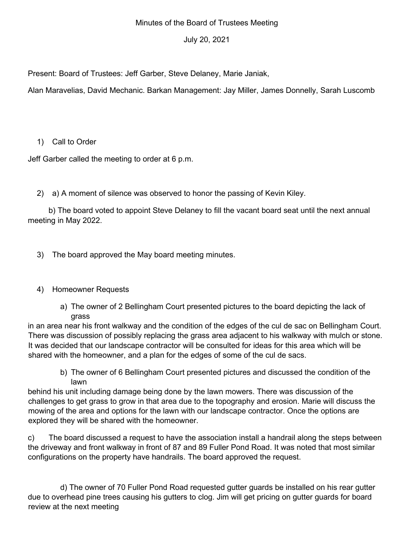### Minutes of the Board of Trustees Meeting

## July 20, 2021

Present: Board of Trustees: Jeff Garber, Steve Delaney, Marie Janiak,

Alan Maravelias, David Mechanic. Barkan Management: Jay Miller, James Donnelly, Sarah Luscomb

1) Call to Order

Jeff Garber called the meeting to order at 6 p.m.

2) a) A moment of silence was observed to honor the passing of Kevin Kiley.

b) The board voted to appoint Steve Delaney to fill the vacant board seat until the next annual meeting in May 2022.

3) The board approved the May board meeting minutes.

# 4) Homeowner Requests

a) The owner of 2 Bellingham Court presented pictures to the board depicting the lack of grass

in an area near his front walkway and the condition of the edges of the cul de sac on Bellingham Court. There was discussion of possibly replacing the grass area adjacent to his walkway with mulch or stone. It was decided that our landscape contractor will be consulted for ideas for this area which will be shared with the homeowner, and a plan for the edges of some of the cul de sacs.

b) The owner of 6 Bellingham Court presented pictures and discussed the condition of the lawn

behind his unit including damage being done by the lawn mowers. There was discussion of the challenges to get grass to grow in that area due to the topography and erosion. Marie will discuss the mowing of the area and options for the lawn with our landscape contractor. Once the options are explored they will be shared with the homeowner.

c) The board discussed a request to have the association install a handrail along the steps between the driveway and front walkway in front of 87 and 89 Fuller Pond Road. It was noted that most similar configurations on the property have handrails. The board approved the request.

d) The owner of 70 Fuller Pond Road requested gutter guards be installed on his rear gutter due to overhead pine trees causing his gutters to clog. Jim will get pricing on gutter guards for board review at the next meeting